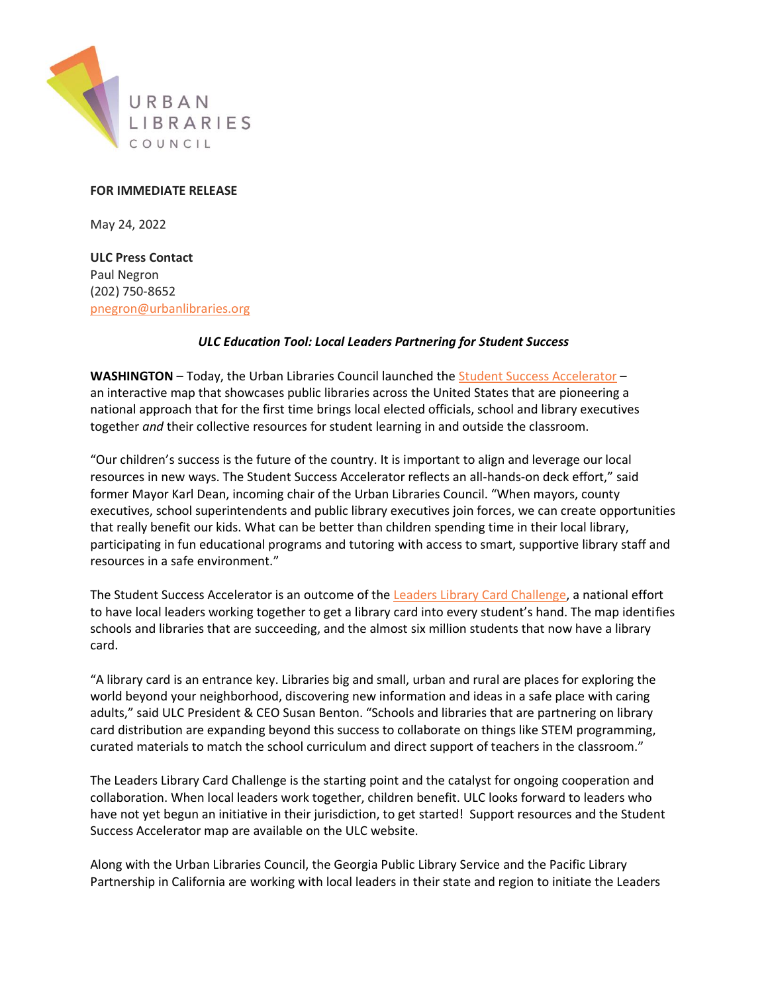

# **FOR IMMEDIATE RELEASE**

May 24, 2022

**ULC Press Contact** Paul Negron (202) 750-8652 [pnegron@urbanlibraries.org](mailto:pnegron@urbanlibraries.org)

## *ULC Education Tool: Local Leaders Partnering for Student Success*

**WASHINGTON** – Today, the Urban Libraries Council launched th[e Student Success Accelerator](https://www.urbanlibraries.org/accelerator) – an interactive map that showcases public libraries across the United States that are pioneering a national approach that for the first time brings local elected officials, school and library executives together *and* their collective resources for student learning in and outside the classroom.

"Our children's success is the future of the country. It is important to align and leverage our local resources in new ways. The Student Success Accelerator reflects an all-hands-on deck effort," said former Mayor Karl Dean, incoming chair of the Urban Libraries Council. "When mayors, county executives, school superintendents and public library executives join forces, we can create opportunities that really benefit our kids. What can be better than children spending time in their local library, participating in fun educational programs and tutoring with access to smart, supportive library staff and resources in a safe environment."

The Student Success Accelerator is an outcome of the [Leaders Library Card Challenge,](https://www.urbanlibraries.org/initiatives/the-leaders-library-card-challenge) a national effort to have local leaders working together to get a library card into every student's hand. The map identifies schools and libraries that are succeeding, and the almost six million students that now have a library card.

"A library card is an entrance key. Libraries big and small, urban and rural are places for exploring the world beyond your neighborhood, discovering new information and ideas in a safe place with caring adults," said ULC President & CEO Susan Benton. "Schools and libraries that are partnering on library card distribution are expanding beyond this success to collaborate on things like STEM programming, curated materials to match the school curriculum and direct support of teachers in the classroom."

The Leaders Library Card Challenge is the starting point and the catalyst for ongoing cooperation and collaboration. When local leaders work together, children benefit. ULC looks forward to leaders who have not yet begun an initiative in their jurisdiction, to get started! Support resources and the Student Success Accelerator map are available on the ULC website.

Along with the Urban Libraries Council, the Georgia Public Library Service and the Pacific Library Partnership in California are working with local leaders in their state and region to initiate the Leaders